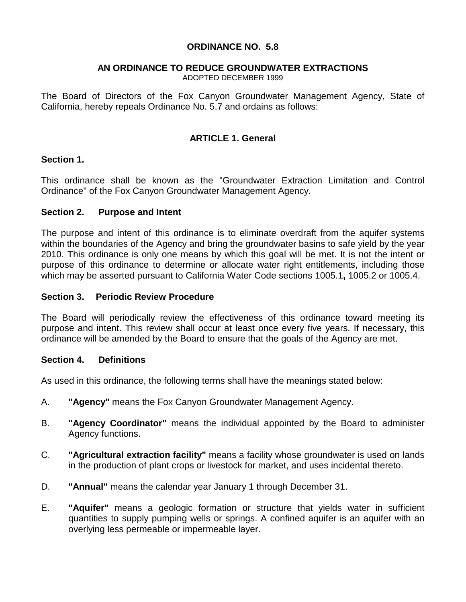## **ORDINANCE NO. 5.8**

# **AN ORDINANCE TO REDUCE GROUNDWATER EXTRACTIONS**

ADOPTED DECEMBER 1999

The Board of Directors of the Fox Canyon Groundwater Management Agency, State of California, hereby repeals Ordinance No. 5.7 and ordains as follows:

## **ARTICLE 1. General**

#### **Section 1.**

This ordinance shall be known as the "Groundwater Extraction Limitation and Control Ordinance" of the Fox Canyon Groundwater Management Agency.

#### **Section 2. Purpose and Intent**

The purpose and intent of this ordinance is to eliminate overdraft from the aquifer systems within the boundaries of the Agency and bring the groundwater basins to safe yield by the year 2010. This ordinance is only one means by which this goal will be met. It is not the intent or purpose of this ordinance to determine or allocate water right entitlements, including those which may be asserted pursuant to California Water Code sections 1005.1**,** 1005.2 or 1005.4.

#### **Section 3. Periodic Review Procedure**

The Board will periodically review the effectiveness of this ordinance toward meeting its purpose and intent. This review shall occur at least once every five years. If necessary, this ordinance will be amended by the Board to ensure that the goals of the Agency are met.

#### **Section 4. Definitions**

As used in this ordinance, the following terms shall have the meanings stated below:

- A. **"Agency"** means the Fox Canyon Groundwater Management Agency.
- B. **"Agency Coordinator"** means the individual appointed by the Board to administer Agency functions.
- C. **"Agricultural extraction facility"** means a facility whose groundwater is used on lands in the production of plant crops or livestock for market, and uses incidental thereto.
- D. **"Annual"** means the calendar year January 1 through December 31.
- E. **"Aquifer"** means a geologic formation or structure that yields water in sufficient quantities to supply pumping wells or springs. A confined aquifer is an aquifer with an overlying less permeable or impermeable layer.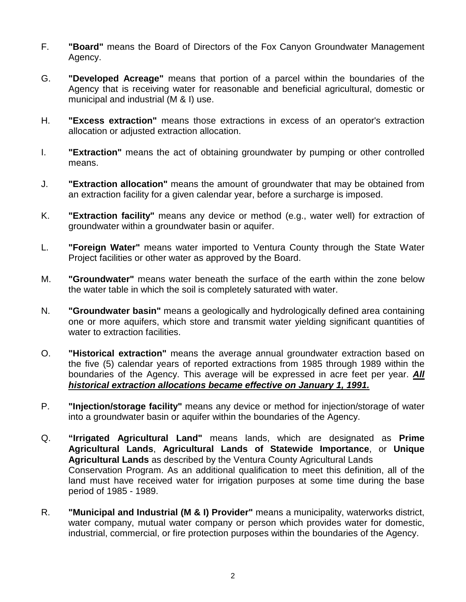- F. **"Board"** means the Board of Directors of the Fox Canyon Groundwater Management Agency.
- G. **"Developed Acreage"** means that portion of a parcel within the boundaries of the Agency that is receiving water for reasonable and beneficial agricultural, domestic or municipal and industrial (M & I) use.
- H. **"Excess extraction"** means those extractions in excess of an operator's extraction allocation or adjusted extraction allocation.
- I. **"Extraction"** means the act of obtaining groundwater by pumping or other controlled means.
- J. **"Extraction allocation"** means the amount of groundwater that may be obtained from an extraction facility for a given calendar year, before a surcharge is imposed.
- K. **"Extraction facility"** means any device or method (e.g., water well) for extraction of groundwater within a groundwater basin or aquifer.
- L. **"Foreign Water"** means water imported to Ventura County through the State Water Project facilities or other water as approved by the Board.
- M. **"Groundwater"** means water beneath the surface of the earth within the zone below the water table in which the soil is completely saturated with water.
- N. **"Groundwater basin"** means a geologically and hydrologically defined area containing one or more aquifers, which store and transmit water yielding significant quantities of water to extraction facilities.
- O. **"Historical extraction"** means the average annual groundwater extraction based on the five (5) calendar years of reported extractions from 1985 through 1989 within the boundaries of the Agency. This average will be expressed in acre feet per year. *All historical extraction allocations became effective on January 1, 1991.*
- P. **"Injection/storage facility"** means any device or method for injection/storage of water into a groundwater basin or aquifer within the boundaries of the Agency.
- Q. **"Irrigated Agricultural Land"** means lands, which are designated as **Prime Agricultural Lands**, **Agricultural Lands of Statewide Importance**, or **Unique Agricultural Lands** as described by the Ventura County Agricultural Lands Conservation Program. As an additional qualification to meet this definition, all of the land must have received water for irrigation purposes at some time during the base period of 1985 - 1989.
- R. **"Municipal and Industrial (M & I) Provider"** means a municipality, waterworks district, water company, mutual water company or person which provides water for domestic, industrial, commercial, or fire protection purposes within the boundaries of the Agency.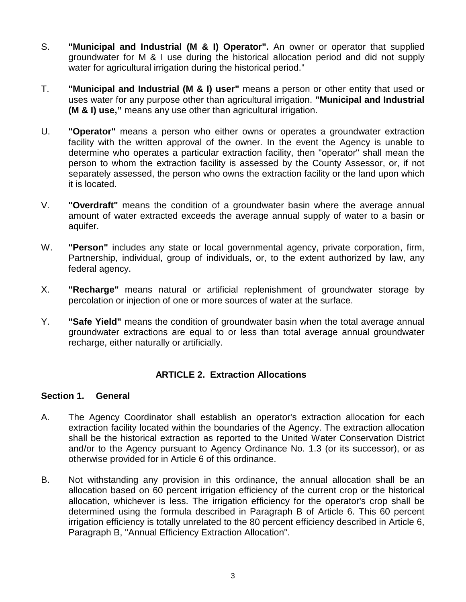- S. **"Municipal and Industrial (M & I) Operator".** An owner or operator that supplied groundwater for M & I use during the historical allocation period and did not supply water for agricultural irrigation during the historical period."
- T. **"Municipal and Industrial (M & I) user"** means a person or other entity that used or uses water for any purpose other than agricultural irrigation. **"Municipal and Industrial (M & I) use,"** means any use other than agricultural irrigation.
- U. **"Operator"** means a person who either owns or operates a groundwater extraction facility with the written approval of the owner. In the event the Agency is unable to determine who operates a particular extraction facility, then "operator" shall mean the person to whom the extraction facility is assessed by the County Assessor, or, if not separately assessed, the person who owns the extraction facility or the land upon which it is located.
- V. **"Overdraft"** means the condition of a groundwater basin where the average annual amount of water extracted exceeds the average annual supply of water to a basin or aquifer.
- W. **"Person"** includes any state or local governmental agency, private corporation, firm, Partnership, individual, group of individuals, or, to the extent authorized by law, any federal agency.
- X. **"Recharge"** means natural or artificial replenishment of groundwater storage by percolation or injection of one or more sources of water at the surface.
- Y. **"Safe Yield"** means the condition of groundwater basin when the total average annual groundwater extractions are equal to or less than total average annual groundwater recharge, either naturally or artificially.

#### **ARTICLE 2. Extraction Allocations**

#### **Section 1. General**

- A. The Agency Coordinator shall establish an operator's extraction allocation for each extraction facility located within the boundaries of the Agency. The extraction allocation shall be the historical extraction as reported to the United Water Conservation District and/or to the Agency pursuant to Agency Ordinance No. 1.3 (or its successor), or as otherwise provided for in Article 6 of this ordinance.
- B. Not withstanding any provision in this ordinance, the annual allocation shall be an allocation based on 60 percent irrigation efficiency of the current crop or the historical allocation, whichever is less. The irrigation efficiency for the operator's crop shall be determined using the formula described in Paragraph B of Article 6. This 60 percent irrigation efficiency is totally unrelated to the 80 percent efficiency described in Article 6, Paragraph B, "Annual Efficiency Extraction Allocation".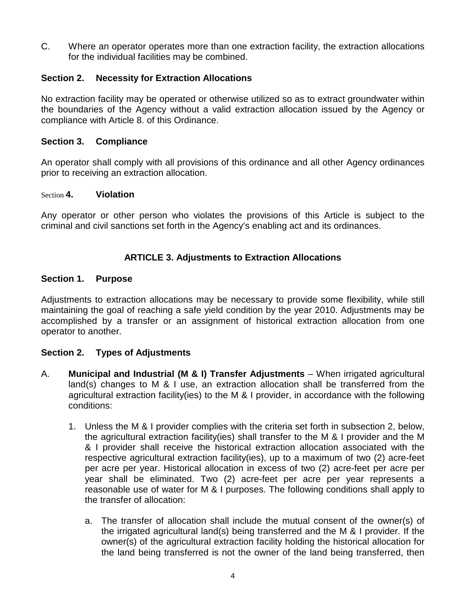C. Where an operator operates more than one extraction facility, the extraction allocations for the individual facilities may be combined.

## **Section 2. Necessity for Extraction Allocations**

No extraction facility may be operated or otherwise utilized so as to extract groundwater within the boundaries of the Agency without a valid extraction allocation issued by the Agency or compliance with Article 8. of this Ordinance.

#### **Section 3. Compliance**

An operator shall comply with all provisions of this ordinance and all other Agency ordinances prior to receiving an extraction allocation.

#### Section **4. Violation**

Any operator or other person who violates the provisions of this Article is subject to the criminal and civil sanctions set forth in the Agency's enabling act and its ordinances.

## **ARTICLE 3. Adjustments to Extraction Allocations**

#### **Section 1. Purpose**

Adjustments to extraction allocations may be necessary to provide some flexibility, while still maintaining the goal of reaching a safe yield condition by the year 2010. Adjustments may be accomplished by a transfer or an assignment of historical extraction allocation from one operator to another.

#### **Section 2. Types of Adjustments**

- A. **Municipal and Industrial (M & I) Transfer Adjustments** When irrigated agricultural land(s) changes to M & I use, an extraction allocation shall be transferred from the agricultural extraction facility(ies) to the M & I provider, in accordance with the following conditions:
	- 1. Unless the M & I provider complies with the criteria set forth in subsection 2, below, the agricultural extraction facility(ies) shall transfer to the M & I provider and the M & I provider shall receive the historical extraction allocation associated with the respective agricultural extraction facility(ies), up to a maximum of two (2) acre-feet per acre per year. Historical allocation in excess of two (2) acre-feet per acre per year shall be eliminated. Two (2) acre-feet per acre per year represents a reasonable use of water for M & I purposes. The following conditions shall apply to the transfer of allocation:
		- a. The transfer of allocation shall include the mutual consent of the owner(s) of the irrigated agricultural land(s) being transferred and the M & I provider. If the owner(s) of the agricultural extraction facility holding the historical allocation for the land being transferred is not the owner of the land being transferred, then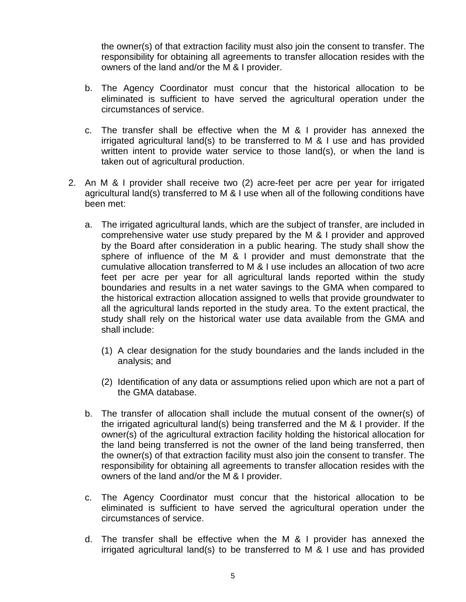the owner(s) of that extraction facility must also join the consent to transfer. The responsibility for obtaining all agreements to transfer allocation resides with the owners of the land and/or the M & I provider.

- b. The Agency Coordinator must concur that the historical allocation to be eliminated is sufficient to have served the agricultural operation under the circumstances of service.
- c. The transfer shall be effective when the M & I provider has annexed the irrigated agricultural land(s) to be transferred to M & I use and has provided written intent to provide water service to those land(s), or when the land is taken out of agricultural production.
- 2. An M & I provider shall receive two (2) acre-feet per acre per year for irrigated agricultural land(s) transferred to M & I use when all of the following conditions have been met:
	- a. The irrigated agricultural lands, which are the subject of transfer, are included in comprehensive water use study prepared by the M & I provider and approved by the Board after consideration in a public hearing. The study shall show the sphere of influence of the M & I provider and must demonstrate that the cumulative allocation transferred to M & I use includes an allocation of two acre feet per acre per year for all agricultural lands reported within the study boundaries and results in a net water savings to the GMA when compared to the historical extraction allocation assigned to wells that provide groundwater to all the agricultural lands reported in the study area. To the extent practical, the study shall rely on the historical water use data available from the GMA and shall include:
		- (1) A clear designation for the study boundaries and the lands included in the analysis; and
		- (2) Identification of any data or assumptions relied upon which are not a part of the GMA database.
	- b. The transfer of allocation shall include the mutual consent of the owner(s) of the irrigated agricultural land(s) being transferred and the M & I provider. If the owner(s) of the agricultural extraction facility holding the historical allocation for the land being transferred is not the owner of the land being transferred, then the owner(s) of that extraction facility must also join the consent to transfer. The responsibility for obtaining all agreements to transfer allocation resides with the owners of the land and/or the M & I provider.
	- c. The Agency Coordinator must concur that the historical allocation to be eliminated is sufficient to have served the agricultural operation under the circumstances of service.
	- d. The transfer shall be effective when the M & I provider has annexed the irrigated agricultural land(s) to be transferred to M & I use and has provided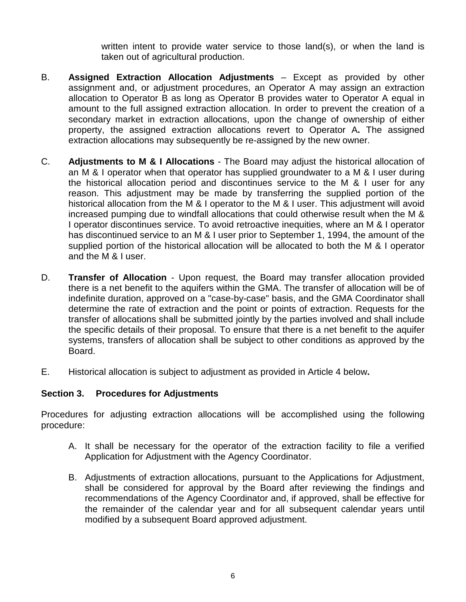written intent to provide water service to those land(s), or when the land is taken out of agricultural production.

- B. **Assigned Extraction Allocation Adjustments** Except as provided by other assignment and, or adjustment procedures, an Operator A may assign an extraction allocation to Operator B as long as Operator B provides water to Operator A equal in amount to the full assigned extraction allocation. In order to prevent the creation of a secondary market in extraction allocations, upon the change of ownership of either property, the assigned extraction allocations revert to Operator A**.** The assigned extraction allocations may subsequently be re-assigned by the new owner.
- C. **Adjustments to M & I Allocations** The Board may adjust the historical allocation of an M & I operator when that operator has supplied groundwater to a M & I user during the historical allocation period and discontinues service to the M & I user for any reason. This adjustment may be made by transferring the supplied portion of the historical allocation from the M & I operator to the M & I user. This adjustment will avoid increased pumping due to windfall allocations that could otherwise result when the M & I operator discontinues service. To avoid retroactive inequities, where an M & I operator has discontinued service to an M & I user prior to September 1, 1994, the amount of the supplied portion of the historical allocation will be allocated to both the M & I operator and the M & I user.
- D. **Transfer of Allocation** Upon request, the Board may transfer allocation provided there is a net benefit to the aquifers within the GMA. The transfer of allocation will be of indefinite duration, approved on a "case-by-case" basis, and the GMA Coordinator shall determine the rate of extraction and the point or points of extraction. Requests for the transfer of allocations shall be submitted jointly by the parties involved and shall include the specific details of their proposal. To ensure that there is a net benefit to the aquifer systems, transfers of allocation shall be subject to other conditions as approved by the Board.
- E. Historical allocation is subject to adjustment as provided in Article 4 below**.**

#### **Section 3. Procedures for Adjustments**

Procedures for adjusting extraction allocations will be accomplished using the following procedure:

- A. It shall be necessary for the operator of the extraction facility to file a verified Application for Adjustment with the Agency Coordinator.
- B. Adjustments of extraction allocations, pursuant to the Applications for Adjustment, shall be considered for approval by the Board after reviewing the findings and recommendations of the Agency Coordinator and, if approved, shall be effective for the remainder of the calendar year and for all subsequent calendar years until modified by a subsequent Board approved adjustment.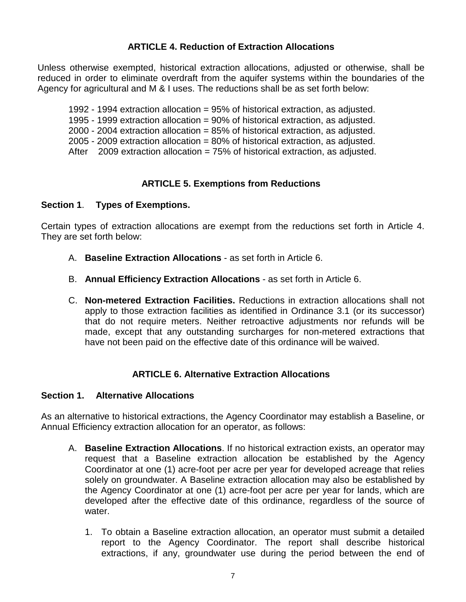# **ARTICLE 4. Reduction of Extraction Allocations**

Unless otherwise exempted, historical extraction allocations, adjusted or otherwise, shall be reduced in order to eliminate overdraft from the aquifer systems within the boundaries of the Agency for agricultural and M & I uses. The reductions shall be as set forth below:

- 1992 1994 extraction allocation = 95% of historical extraction, as adjusted.
- 1995 1999 extraction allocation = 90% of historical extraction, as adjusted.
- 2000 2004 extraction allocation = 85% of historical extraction, as adjusted.
- 2005 2009 extraction allocation = 80% of historical extraction, as adjusted.
- After  $2009$  extraction allocation = 75% of historical extraction, as adjusted.

# **ARTICLE 5. Exemptions from Reductions**

#### **Section 1**. **Types of Exemptions.**

Certain types of extraction allocations are exempt from the reductions set forth in Article 4. They are set forth below:

- A. **Baseline Extraction Allocations** as set forth in Article 6.
- B. **Annual Efficiency Extraction Allocations** as set forth in Article 6.
- C. **Non-metered Extraction Facilities.** Reductions in extraction allocations shall not apply to those extraction facilities as identified in Ordinance 3.1 (or its successor) that do not require meters. Neither retroactive adjustments nor refunds will be made, except that any outstanding surcharges for non-metered extractions that have not been paid on the effective date of this ordinance will be waived.

# **ARTICLE 6. Alternative Extraction Allocations**

#### **Section 1. Alternative Allocations**

As an alternative to historical extractions, the Agency Coordinator may establish a Baseline, or Annual Efficiency extraction allocation for an operator, as follows:

- A. **Baseline Extraction Allocations**. If no historical extraction exists, an operator may request that a Baseline extraction allocation be established by the Agency Coordinator at one (1) acre-foot per acre per year for developed acreage that relies solely on groundwater. A Baseline extraction allocation may also be established by the Agency Coordinator at one (1) acre-foot per acre per year for lands, which are developed after the effective date of this ordinance, regardless of the source of water.
	- 1. To obtain a Baseline extraction allocation, an operator must submit a detailed report to the Agency Coordinator. The report shall describe historical extractions, if any, groundwater use during the period between the end of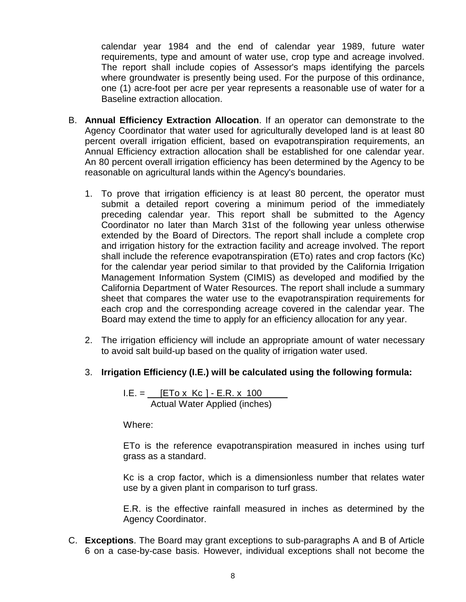calendar year 1984 and the end of calendar year 1989, future water requirements, type and amount of water use, crop type and acreage involved. The report shall include copies of Assessor's maps identifying the parcels where groundwater is presently being used. For the purpose of this ordinance, one (1) acre-foot per acre per year represents a reasonable use of water for a Baseline extraction allocation.

- B. **Annual Efficiency Extraction Allocation**. If an operator can demonstrate to the Agency Coordinator that water used for agriculturally developed land is at least 80 percent overall irrigation efficient, based on evapotranspiration requirements, an Annual Efficiency extraction allocation shall be established for one calendar year. An 80 percent overall irrigation efficiency has been determined by the Agency to be reasonable on agricultural lands within the Agency's boundaries.
	- 1. To prove that irrigation efficiency is at least 80 percent, the operator must submit a detailed report covering a minimum period of the immediately preceding calendar year. This report shall be submitted to the Agency Coordinator no later than March 31st of the following year unless otherwise extended by the Board of Directors. The report shall include a complete crop and irrigation history for the extraction facility and acreage involved. The report shall include the reference evapotranspiration (ETo) rates and crop factors (Kc) for the calendar year period similar to that provided by the California Irrigation Management Information System (CIMIS) as developed and modified by the California Department of Water Resources. The report shall include a summary sheet that compares the water use to the evapotranspiration requirements for each crop and the corresponding acreage covered in the calendar year. The Board may extend the time to apply for an efficiency allocation for any year.
	- 2. The irrigation efficiency will include an appropriate amount of water necessary to avoid salt build-up based on the quality of irrigation water used.
	- 3. **Irrigation Efficiency (I.E.) will be calculated using the following formula:**

 $I.E. = \underline{[ETo \times Kc] - E.R. \times 100}$ Actual Water Applied (inches)

Where:

ETo is the reference evapotranspiration measured in inches using turf grass as a standard.

Kc is a crop factor, which is a dimensionless number that relates water use by a given plant in comparison to turf grass.

E.R. is the effective rainfall measured in inches as determined by the Agency Coordinator.

C. **Exceptions**. The Board may grant exceptions to sub-paragraphs A and B of Article 6 on a case-by-case basis. However, individual exceptions shall not become the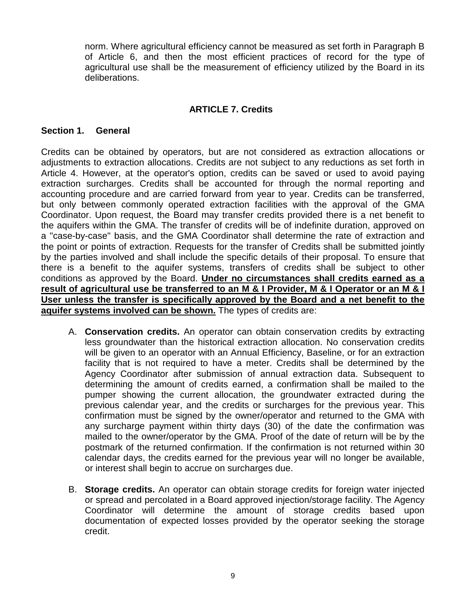norm. Where agricultural efficiency cannot be measured as set forth in Paragraph B of Article 6, and then the most efficient practices of record for the type of agricultural use shall be the measurement of efficiency utilized by the Board in its deliberations.

#### **ARTICLE 7. Credits**

#### **Section 1. General**

Credits can be obtained by operators, but are not considered as extraction allocations or adjustments to extraction allocations. Credits are not subject to any reductions as set forth in Article 4. However, at the operator's option, credits can be saved or used to avoid paying extraction surcharges. Credits shall be accounted for through the normal reporting and accounting procedure and are carried forward from year to year. Credits can be transferred, but only between commonly operated extraction facilities with the approval of the GMA Coordinator. Upon request, the Board may transfer credits provided there is a net benefit to the aquifers within the GMA. The transfer of credits will be of indefinite duration, approved on a "case-by-case" basis, and the GMA Coordinator shall determine the rate of extraction and the point or points of extraction. Requests for the transfer of Credits shall be submitted jointly by the parties involved and shall include the specific details of their proposal. To ensure that there is a benefit to the aquifer systems, transfers of credits shall be subject to other conditions as approved by the Board. **Under no circumstances shall credits earned as a result of agricultural use be transferred to an M & I Provider, M & I Operator or an M & I User unless the transfer is specifically approved by the Board and a net benefit to the aquifer systems involved can be shown.** The types of credits are:

- A. **Conservation credits.** An operator can obtain conservation credits by extracting less groundwater than the historical extraction allocation. No conservation credits will be given to an operator with an Annual Efficiency, Baseline, or for an extraction facility that is not required to have a meter. Credits shall be determined by the Agency Coordinator after submission of annual extraction data. Subsequent to determining the amount of credits earned, a confirmation shall be mailed to the pumper showing the current allocation, the groundwater extracted during the previous calendar year, and the credits or surcharges for the previous year. This confirmation must be signed by the owner/operator and returned to the GMA with any surcharge payment within thirty days (30) of the date the confirmation was mailed to the owner/operator by the GMA. Proof of the date of return will be by the postmark of the returned confirmation. If the confirmation is not returned within 30 calendar days, the credits earned for the previous year will no longer be available, or interest shall begin to accrue on surcharges due.
- B. **Storage credits.** An operator can obtain storage credits for foreign water injected or spread and percolated in a Board approved injection/storage facility. The Agency Coordinator will determine the amount of storage credits based upon documentation of expected losses provided by the operator seeking the storage credit.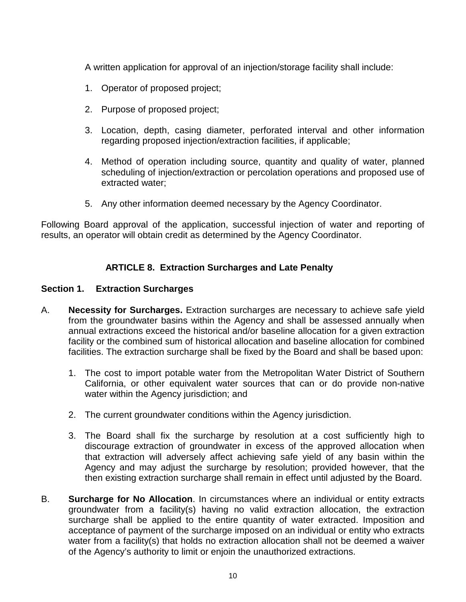A written application for approval of an injection/storage facility shall include:

- 1. Operator of proposed project;
- 2. Purpose of proposed project;
- 3. Location, depth, casing diameter, perforated interval and other information regarding proposed injection/extraction facilities, if applicable;
- 4. Method of operation including source, quantity and quality of water, planned scheduling of injection/extraction or percolation operations and proposed use of extracted water;
- 5. Any other information deemed necessary by the Agency Coordinator.

Following Board approval of the application, successful injection of water and reporting of results, an operator will obtain credit as determined by the Agency Coordinator.

# **ARTICLE 8. Extraction Surcharges and Late Penalty**

#### **Section 1. Extraction Surcharges**

- A. **Necessity for Surcharges.** Extraction surcharges are necessary to achieve safe yield from the groundwater basins within the Agency and shall be assessed annually when annual extractions exceed the historical and/or baseline allocation for a given extraction facility or the combined sum of historical allocation and baseline allocation for combined facilities. The extraction surcharge shall be fixed by the Board and shall be based upon:
	- 1. The cost to import potable water from the Metropolitan Water District of Southern California, or other equivalent water sources that can or do provide non-native water within the Agency jurisdiction; and
	- 2. The current groundwater conditions within the Agency jurisdiction.
	- 3. The Board shall fix the surcharge by resolution at a cost sufficiently high to discourage extraction of groundwater in excess of the approved allocation when that extraction will adversely affect achieving safe yield of any basin within the Agency and may adjust the surcharge by resolution; provided however, that the then existing extraction surcharge shall remain in effect until adjusted by the Board.
- B. **Surcharge for No Allocation**. In circumstances where an individual or entity extracts groundwater from a facility(s) having no valid extraction allocation, the extraction surcharge shall be applied to the entire quantity of water extracted. Imposition and acceptance of payment of the surcharge imposed on an individual or entity who extracts water from a facility(s) that holds no extraction allocation shall not be deemed a waiver of the Agency's authority to limit or enjoin the unauthorized extractions.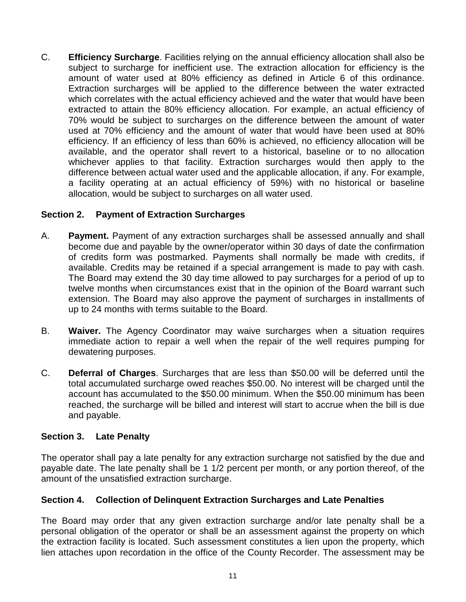C. **Efficiency Surcharge**. Facilities relying on the annual efficiency allocation shall also be subject to surcharge for inefficient use. The extraction allocation for efficiency is the amount of water used at 80% efficiency as defined in Article 6 of this ordinance. Extraction surcharges will be applied to the difference between the water extracted which correlates with the actual efficiency achieved and the water that would have been extracted to attain the 80% efficiency allocation. For example, an actual efficiency of 70% would be subject to surcharges on the difference between the amount of water used at 70% efficiency and the amount of water that would have been used at 80% efficiency. If an efficiency of less than 60% is achieved, no efficiency allocation will be available, and the operator shall revert to a historical, baseline or to no allocation whichever applies to that facility. Extraction surcharges would then apply to the difference between actual water used and the applicable allocation, if any. For example, a facility operating at an actual efficiency of 59%) with no historical or baseline allocation, would be subject to surcharges on all water used.

## **Section 2. Payment of Extraction Surcharges**

- A. **Payment.** Payment of any extraction surcharges shall be assessed annually and shall become due and payable by the owner/operator within 30 days of date the confirmation of credits form was postmarked. Payments shall normally be made with credits, if available. Credits may be retained if a special arrangement is made to pay with cash. The Board may extend the 30 day time allowed to pay surcharges for a period of up to twelve months when circumstances exist that in the opinion of the Board warrant such extension. The Board may also approve the payment of surcharges in installments of up to 24 months with terms suitable to the Board.
- B. **Waiver.** The Agency Coordinator may waive surcharges when a situation requires immediate action to repair a well when the repair of the well requires pumping for dewatering purposes.
- C. **Deferral of Charges**. Surcharges that are less than \$50.00 will be deferred until the total accumulated surcharge owed reaches \$50.00. No interest will be charged until the account has accumulated to the \$50.00 minimum. When the \$50.00 minimum has been reached, the surcharge will be billed and interest will start to accrue when the bill is due and payable.

#### **Section 3. Late Penalty**

The operator shall pay a late penalty for any extraction surcharge not satisfied by the due and payable date. The late penalty shall be 1 1/2 percent per month, or any portion thereof, of the amount of the unsatisfied extraction surcharge.

# **Section 4. Collection of Delinquent Extraction Surcharges and Late Penalties**

The Board may order that any given extraction surcharge and/or late penalty shall be a personal obligation of the operator or shall be an assessment against the property on which the extraction facility is located. Such assessment constitutes a lien upon the property, which lien attaches upon recordation in the office of the County Recorder. The assessment may be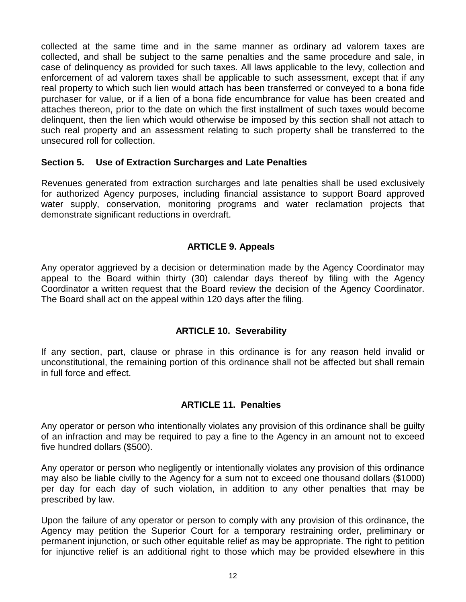collected at the same time and in the same manner as ordinary ad valorem taxes are collected, and shall be subject to the same penalties and the same procedure and sale, in case of delinquency as provided for such taxes. All laws applicable to the levy, collection and enforcement of ad valorem taxes shall be applicable to such assessment, except that if any real property to which such lien would attach has been transferred or conveyed to a bona fide purchaser for value, or if a lien of a bona fide encumbrance for value has been created and attaches thereon, prior to the date on which the first installment of such taxes would become delinquent, then the lien which would otherwise be imposed by this section shall not attach to such real property and an assessment relating to such property shall be transferred to the unsecured roll for collection.

#### **Section 5. Use of Extraction Surcharges and Late Penalties**

Revenues generated from extraction surcharges and late penalties shall be used exclusively for authorized Agency purposes, including financial assistance to support Board approved water supply, conservation, monitoring programs and water reclamation projects that demonstrate significant reductions in overdraft.

## **ARTICLE 9. Appeals**

Any operator aggrieved by a decision or determination made by the Agency Coordinator may appeal to the Board within thirty (30) calendar days thereof by filing with the Agency Coordinator a written request that the Board review the decision of the Agency Coordinator. The Board shall act on the appeal within 120 days after the filing.

#### **ARTICLE 10. Severability**

If any section, part, clause or phrase in this ordinance is for any reason held invalid or unconstitutional, the remaining portion of this ordinance shall not be affected but shall remain in full force and effect.

# **ARTICLE 11. Penalties**

Any operator or person who intentionally violates any provision of this ordinance shall be guilty of an infraction and may be required to pay a fine to the Agency in an amount not to exceed five hundred dollars (\$500).

Any operator or person who negligently or intentionally violates any provision of this ordinance may also be liable civilly to the Agency for a sum not to exceed one thousand dollars (\$1000) per day for each day of such violation, in addition to any other penalties that may be prescribed by law.

Upon the failure of any operator or person to comply with any provision of this ordinance, the Agency may petition the Superior Court for a temporary restraining order, preliminary or permanent injunction, or such other equitable relief as may be appropriate. The right to petition for injunctive relief is an additional right to those which may be provided elsewhere in this